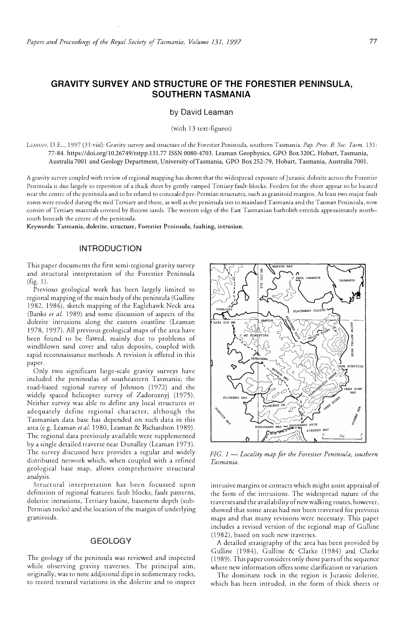# **GRAVITY SURVEY AND STRUCTURE OF THE FORESTIER PENINSULA, SOUTHERN TASMANIA**

#### by David Leaman

(with 13 text-figures)

LEAMAN, D.E .. , 1997 (31 :viii): Gravity survey and structure of the Forestier Peninsula, southern Tasmania. *Pap. Proc. R. Soc. Tasm.* 131: 77-84. https://doi.org/10.26749/rstpp.131.77 ISSN 0080-4703. Leaman Geophysics, GPO Box 320C, Hobart, Tasmania, Australia 7001 and Geology Department, University of Tasmania, GPO Box 252-79, Hobart, Tasmania, Australia 7001.

A gravity survey coupled with review of regional mapping has shown that the widespread exposure of Jurassic dolerite across the Foresrier Peninsula is due largely to repetition of a thick sheet by gently ramped Tertiary fault-blocks. Feeders for the sheet appear to be located near the centre of the peninsula and to be related to concealed pre-Permian structures, such as granitoid margins. At least two major fault zones were eroded during the mid Tertiary and these, as well as the peninsula ties to mainland Tasmania and the Tasman Peninsula, now consist of Tertiary materials covered by Recent sands. The western edge of the East Tasmanian batholith extends approximately northsouth beneath the centre of the peninsula.

**Keywords: Tasmania, dolerite, structure, Forestier Peninsula, faulting, intrusion.** 

## **INTRODUCTION**

This paper documents the first semi-regional gravity survey and structural interpretation of the Forestier Peninsula (fig. 1).

Previous geological work has been largely limited to regional mapping of the main body of the peninsula (Gulline 1982, 1984), sketch mapping of the Eaglehawk Neck area (Banks *et af.* 1989) and some discussion of aspects of the dolerite intrusions along the eastern coastline (Leaman 1978, 1997). All previous geological maps of the area have been found to be flawed, mainly due to problems of windblown sand cover and talus deposits, coupled with rapid reconnaissance methods. A revision is offered in this paper.

Only two significant large-scale gravity surveys have included the peninsulas of southeastern Tasmania; the road-based regional survey of Johnson (1972) and the widely spaced helicopter survey of Zadoroznyj (1975). Neither survey was able to define any local structures or adequately define regional character, although the Tasmanian data base has depended on such data in this area (e.g. Leaman *et al.* 1980, Leaman & Richardson 1989). The regional data previously available were supplemented by a single detailed traverse near Dunalley (Leaman 1973). The survey discussed here provides a regular and widely distributed nerwork which, when coupled with a refined geological base map, allows comprehensive structural analysis.

Structural interpretation has been focussed upon definition of regional features; fault blocks, fault patterns, dolerire intrusions, Tertiary basins, basement depth (sub-Permian rocks) and the location of the margin of underlying granitoids.

#### GEOLOGY

The geology of the peninsula was reviewed and inspected while observing gravity traverses. The principal aim, originally, was to note additional dips in sedimentary rocks, to record textural variations in the dolerite and to inspect



*FIG. 1 - Locality map for the Forestier Peninsula, southern Tasmania.* 

intrusive margins or contacts which might assist appraisal of the form of the intrusions. The widespread nature of the traverses and the availability of new walking routes, however, showed that some areas had not been traversed for previous maps and that many revisions were necessary. This paper includes a revised version of the regional map of Gulline (1982), based on such new traverses.

A detailed stratigraphy of the area has been provided by Gulline (1984), Gulline & Clarke (1984) and Clarke (1989). This paper considers only chose parrs of the sequence where new information offers some clariftcarion or variation.

The dominant rock in the region is Jurassic dolerite, which has been intruded, in the form of thick sheers or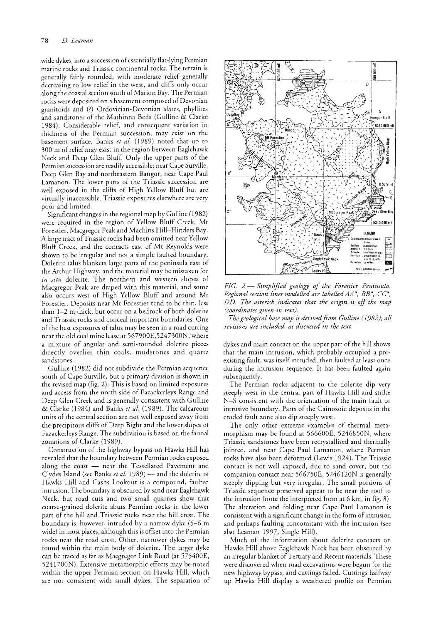wide dykes, into a succession of essentially flat-lying Permian marine rocks and Triassic continental rocks. The terrain is generally fairly rounded, with moderate relief generally decreasing to low relief in the west, and cliffs only occur along the coastal section south of Marion Bay. The Permian rocks were deposited on a basement composed of Devonian granitoids and (?) Ordovician-Devonian slates, phyllites and sandstones of the Mathinna Beds (Gulline & Clarke 1984). Considerable relief, and consequent variation in thickness of the Permian succession, may exist on the basement surface. Banks *et al.* (1989) noted that up to 300 m of relief may exist in the region between Eaglehawk Neck and Deep Glen Bluff. Only the upper parts of the Permian succession are readily accessible; near Cape Surville, Deep Glen Bay and northeastern Bangor, near Cape Paul Lamanon. The lower parts of the Triassic succession are well exposed in the cliffs of High Yellow Bluff but are virtually inaccessible. Triassic exposures elsewhere are very poor and limited.

Significant changes in the regional map by Gulline (1982) were required in the region of Yellow Bluff Creek, Mt Forestier, Macgregor Peak and Machins Hill-Flinders Bay. A large tract of Triassic rocks had been omitted near Yellow Bluff Creek, and the contacts east of Mt Reynolds were shown to be irregular and not a simple faulted boundary. Dolerite talus blankets large parts of the peninsula east of the Arthur Highway, and the material may be mistaken for *in situ* dolerite. The northern and western slopes of Macgregor Peak are draped with this material, and some also occurs west of High Yellow Bluff and around Mt Forestier. Deposits near Mt Forestier tend to be thin, less than 1-2 m thick, but occur on a bedrock of both dolerite and Triassic rocks and conceal important boundaries. One of the best exposures of talus may be seen in a road cutting near the old coal mine lease at 567900E,5247300N, where a mixture of angular and semi-rounded dolerite pieces directly overlies thin coals, mudstones and quartz sandstones.

Gulline (1982) did not subdivide the Permian sequence south of Cape Surville, but a primary division is shown in the revised map (fig. 2). This is based on limited exposures and access from the north side of Fazackerleys Range and Deep Glen Creek and is generally consistent with Gulline & Clarke (1984) and Banks *et al.* (1989). The calcareous units of the central section are not well exposed away from the precipitous cliffs of Deep Bight and the lower slopes of Fazackerleys Range. The subdivision is based on the faunal zonations of Clarke (1989).

Construction of the highway bypass on Hawks Hill has revealed that the boundary between Permian rocks exposed along the coast  $-$  near the Tessellated Pavement and Clydes Island (see Banks *et al.* 1989) - and the dolerite of Hawks Hill and Cashs Lookout is a compound, faulted intrusion. The boundary is obscured by sand near Eaglehawk Neck, but road cuts and two small quarries show that coarse-grained dolerite abuts Permian rocks in the lower part of the hill and Triassic rocks near the hill crest. The boundary is, however, intruded by a narrow dyke (5-6 m wide) in most places, although this is offset into the Permian rocks near the road crest. Other, narrower dykes may be found within the main body of dolerite. The larger dyke can be traced as far as Macgregor Link Road (at 575400E, 5241700N). Extensive metamorphic effects may be noted within the upper Permian section on Hawks Hill, which are not consistent with small dykes. The separation of



*FIG.* 2 - *Simplified geology of the Forestier Peninsula. Regional section lines modelled are labelled* AA \*, BB\*, CC\*, *DD. The asterisk indicates that the origin is off the map (coordinates given in text).* 

*The geological base map is derived ftom Gulline (J* 982); *all revisions are included, as discussed in the text.* 

dykes and main contact on the upper part of the hill shows that the main intrusion, which probably occupied a preexisting fault, was itself intruded, then faulted at least once during the intrusion sequence. It has been faulted again subsequently.

The Permian rocks adjacent to the dolerite dip very steeply west in the central part of Hawks Hill and strike N-S consistent with the orientation of the main fault or intrusive boundary. Parts of the Cainozoic deposits in the eroded fault zone also dip steeply west.

The only other extreme examples of thermal metamorphism may be found at 566600E, 5246850N, where Triassic sandstones have been recrystailised and thermally jointed, and near Cape Paul Lamanon, where Permian rocks have also been deformed (Lewis 1924). The Triassic contact is not well exposed, due to sand cover, but the companion contact near 566750E, 5246120N is generally steeply dipping but very irregular. The small portions of Triassic sequence preserved appear to be near the roof co the intrusion (note the interpreted form at 6 km, in fig. 8). The alteration and folding near Cape Paul Lamanon is consistent with a significant change in the form of intrusion and perhaps faulting concomitant with the intrusion (see also Leaman 1997, Single Hill).

Much of the information about dolerite contacts on Hawks Hill above Eaglehawk Neck has been obscured by an irregular blanket of Tertiary and Recent materials. These were discovered when road excavations were begun for the new highway bypass, and cuttings failed. Cuttings halfway up Hawks Hill display a weathered profile on Permian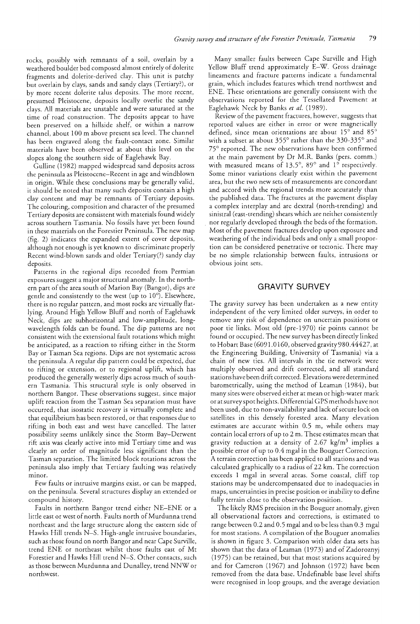rocks, possibly with remnants of a soil, overlain by a weathered boulder bed composed almost entirely of dolerite fragments and dolerite-derived clay. This unit is patchy but overlain by clays, sands and sandy clays (Tertiary?), or by more recent dolerite talus deposits. The more recent, presumed Pleistocene, deposits locally overlie the sandy clays. All materials are unstable and were saturated at the time of road construction. The deposits appear to have been preserved on a hillside shelf, or within a narrow channel, about 100 m above present sea level. The channel has been engraved along the fault-contact zone. Similar materials have been observed at about this level on the slopes along the southern side of Eaglehawk Bay.

Gulline (1982) mapped widespread sand deposits across the peninsula as Pleistocene-Recent in age and windblown in origin. While these conclusions may be generally valid, it should be noted that many such deposits contain a high clay content and may be remnants of Tertiary deposits. The colouring, composition and character of the presumed Tertiary deposits are consistent with materials found widely across southern Tasmania. No fossils have yet been found in these materials on the Forestier Peninsula. The new map (fig. 2) indicates the expanded extent of cover deposits, although not enough is yet known to discriminate properly Recent wind-blown sands and older Tertiary(?) sandy clay deposits.

Patterns in the regional dips recorded from Permian exposures suggest a major structural anomaly. **In** the northern part of the area south of Marion Bay (Bangor), dips are gentle and consistently to the west (up to 10°). Elsewhere, there is no regular pattern, and most rocks are virtually flatlying. Around High Yellow Bluff and north of Eaglehawk Neck, dips are subhorizontal and low-amplitude, longwavelength folds can be found. The dip patterns are not consistent with the extensional fault rotations which might be anticipated, as a reaction to rifting either in the Storm Bay or Tasman Sea regions. Dips are not systematic across the peninsula. A regular dip pattern could be expected, due to rifting or extension, or to regional uplift, which has produced the generally westerly dips across much of southern Tasmania. This structural style is only observed in northern Bangor. These observations suggest, since major uplift reaction from the Tasman Sea separation must have occurred, that isostatic recovery is virtually complete and that equilibrium has been restored, or that responses due to rifting in both east and west have cancelled. The latter possibility seems unlikely since the Storm Bay-Derwent rift axis was clearly active into mid Tertiary time and was clearly an order of magnitude less significant than the Tasman separation. The limited block rotations across the peninsula also imply that Tertiary faulting was relatively minor.

Few faults or intrusive margins exist, or can be mapped, on the peninsula. Several structures display an extended or compound history.

Faults in northern Bangor trend either NE-ENE or a little east or west of north. Faults north of Murdunna trend northeast and the large structure along the eastern side of Hawks Hill trends N-S. High-angle intrusive boundaries, such as those found on north Bangor and near Cape Surville, trend ENE or northeast whilst those faults east of Mt Forestier and Hawks Hill trend N-S. Other contacts, such as those between Murdunna and Dunalley, trend NNW or northwest.

Many smaller faults between Cape Surville and High Yellow Bluff trend approximately E-W. Gross drainage lineaments and fracture patterns indicate a fundamental grain, which includes features which trend northwest and ENE. These orientations are generally consistent with the observations reported for the Tessellated Pavement at Eaglehawk Neck by Banks *et al. (1989).* 

Review of the pavement fractures, however, suggests that reported values are either in error or were magnetically defined, since mean orientations are about *15°* and *85°*  with a subset at about *355°* rather than the 330-335° and *75°* reported. The new observations have been confirmed at the main pavement by Dr M.R. Banks (pers. comm.) with measured means of 13.5°, 89° and 1° respectively. Some minor variations clearly exist within the pavement area, but the rwo new sets of measurements are concordant and accord with the regional trends more accurately than the published data. The fractures at the pavement display a complex interplay and are dextral (north-trending) and sinistral (east-trending) shears which are neither consistently . nor regularly developed through the beds of the formation. Most of the pavement fractures develop upon exposure and weathering of the individual beds and only a small proportion can be considered penetrative or tectonic. There may be no simple relationship between faults, intrusions or obvious joint sets.

# **GRAVITY SURVEY**

The gravity survey has been undertaken as a new entity independent of the very limited older surveys, in order to remove any risk of dependence on uncertain positions or poor tie links. Most old (pre-1970) tie points cannot be found or occupied. The new survey has been directly linked to Hobart Base (6091.0160, observed gravity 980.44427, at the Engineering Building, University of Tasmania) via a chain of new ties. All intervals in the tie network were multiply observed and drift corrected, and all standard stations have been drift corrected. Elevations were determined barometrically, using the method of Leaman (1984), but many sites were observed either at mean or high-water mark or at survey spot heights. Differential G PS methods have not been used, due to non-availability and lack of secure lock on satellites in this densely forested area. Many elevation estimates are accurate within 0.5 m, while others may contain local errors of up to 2 m. These estimates mean that gravity reduction at a density of  $2.67 \text{ kg/m}^3$  implies a possible error of up to 0.4 mgal in the Bouguer Correction. A terrain correction has been applied to all stations and was calculated graphically to a radius of22 km. The correction exceeds 1 mgal in several areas. Some coastal, cliff top stations may be undercompensated due to inadequacies in maps, uncertainties in precise position or inability to define fully terrain close to the observation position.

The likely RMS precision in the Bouguer anomaly, given all observational factors and corrections, is estimated to range between 0.2 and 0.5 mgal and to be less than 0.3 mgal for most stations. A compilation of the Bouguer anomalies is shown in figure 3. Comparison with older data sets has shown that the data of Leaman (1973) and of Zadoroznyj (1975) can be retained, but that most stations acquired by and for Cameron (1967) and Johnson (1972) have been removed from the data base. Undefinable base level shifts were recognised in loop groups, and the average deviation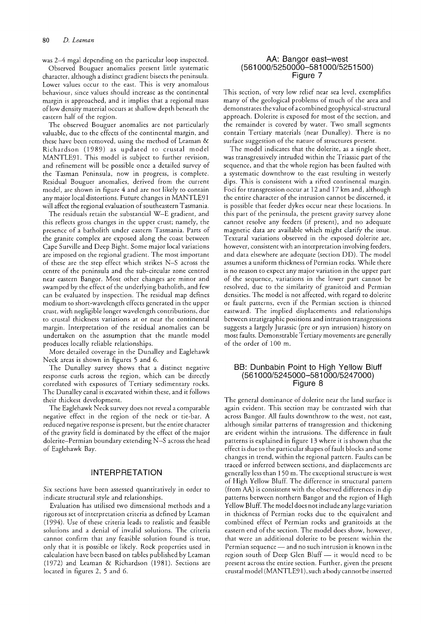was 2-4 mgal depending on the particular loop inspected.

Observed Bouguer anomalies present little systematic character, although a distinct gradient bisects the peninsula. Lower values occur to the east. This is very anomalous behaviour, since values should increase as the continental margin is approached, and it implies that a regional mass oflow density material occurs at shallow depth beneath the eastern half of the region.

The observed Bouguer anomalies are not particularly valuable, due to the effects of the continental margin, and these have been removed, using the method of Leaman & Richardson (1989) as updated to crustal model MANTLE91. This model is subject to further revision, and refinement will be possible once a detailed survey of the Tasman Peninsula, now in progress, is complete. Residual Bouguer anomalies, derived from the current model, are shown in figure 4 and are not likely to contain any major local distortions. Future changes in MANTLE91 will affect the regional evaluation of southeastern Tasmania.

The residuals retain the substantial W-E gradient, and this reflects gross changes in the upper crust; namely, the presence of a batholith under eastern Tasmania. Parts of the granite complex are exposed along the coast between Cape Surville and Deep Bight. Some major local variations are imposed on the regional gradient. The most important of these are the step effect which strikes N-S across the centre of the peninsula and the sub-circular zone centred near eastern Bangor. Most other changes are minor and swamped by the effect of the underlying batholith, and few can be evaluated by inspection. The residual map defines medium to short-wavelength effects generated in the upper crust, with negligible longer wavelength contributions, due to crustal thickness variations at or near the continental margin. Interpretation of the residual anomalies can be undertaken on the assumption that the mantle model produces locally reliable relationships.

More detailed coverage in the Dunalley and Eaglehawk Neck areas is shown in figures 5 and 6.

The Dunalley survey shows that a distinct negative response curls across the region, which can be directly correlated with exposures of Tertiary sedimentary rocks. The Dunalley canal is excavated within these, and it follows their thickest development.

The Eaglehawk Neck survey does not reveal a comparable negative effect in the region of the neck or tie-bar. A reduced negative response is present, but the entire character of the gravity field is dominated by the effect of the major dolerite-Permian boundary extending N-S across the head of Eaglehawk Bay.

#### INTERPRETATION

Six sections have been assessed quantitatively in order to indicate structural style and relationships.

Evaluation has utilised two dimensional methods and a rigorous set of interpretation criteria as defined by Leaman (1994). Use of these criteria leads to realistic and feasible solutions and a denial of invalid solutions. The criteria cannot confirm that any feasible solution found is true, only that it is possible or likely. Rock properties used in calculation have been based on tables published by Leaman (1972) and Leaman & Richardson (1981). Sections are located in figures 2, 5 and 6.

#### AA: Bangor east-west (561000/5250000-581000/5251500) Figure 7

This section, of very low relief near sea level, exemplifies many of the geological problems of much of the area and demonstrates the value of a combined geophysical-structural approach. Dolerite is exposed for most of the section, and the remainder is covered by water. Two small segments contain Tertiary materials (near Dunalley). There is no surface suggestion of the nature of structures present.

The model indicates that the dolerite, as a single sheet, was transgressively intruded within the Triassic part of the sequence, and that the whole region has been faulted with a systematic downthrow to the east resulting in westerly dips. This is consistent with a rifted continental margin. Foci for transgression occur at 12 and 17 km and, although the entire character of the intrusion cannot be discerned, it is possible that feeder dykes occur near these locations. In this part of the peninsula, the present gravity survey alone cannot resolve any feeders (if present), and no adequate magnetic data are available which might clarify the issue. Textural variations observed in the exposed dolerite are, however, consistent with an interpretation involving feeders, and data elsewhere are adequate (section DD). The model assumes a uniform thickness of Permian rocks. While there is no reason to expect any major variation in the upper part of the sequence, variations in the lower part cannot be resolved, due to the similarity of granitoid and Permian densities. The model is not affected, with regard to dolerite or fault patterns, even if the Permian section is thinned eastward. The implied displacements and relationships between stratigraphic positions and intrusion transgressions suggests a largely Jurassic (pre or syn intrusion) history on most faults. Demonstrable Tertiary movements are generally of the order of 100 m.

#### BB: Dunbabin Point to High Yellow Bluff (561000/5245000-581000/5247000) Figure 8

The general dominance of dolerite near the land sutface is again evident. This section may be contrasted with that across Bangor. All faults downthrow to the west, not east, although similar patterns of transgression and thickening are evident within the intrusions. The difference in fault patterns is explained in figure 13 where it is shown that the effect is due to the particular shapes of fault blocks and some changes in trend, within the regional pattern. Faults can be traced or inferred between sections, and displacements are generally less than 150 m. The exceptional structure is west of High Yellow Bluff. The difference in structural pattern (from AA) is consistent with the observed differences in dip patterns between northern Bangor and the region of High Yellow Bluff. The model does not include any large variation in thickness of Permian rocks due to the equivalent and combined effect of Permian rocks and granitoids at the eastern end of the section. The model does show, however, that were an additional dolerite to be present within the Permian sequence - and no such intrusion is known in the region south of Deep Glen Bluff  $-$  it would need to be present across the entire section. Further, given the present crustal model (MANTLE91), such a body cannot be inserted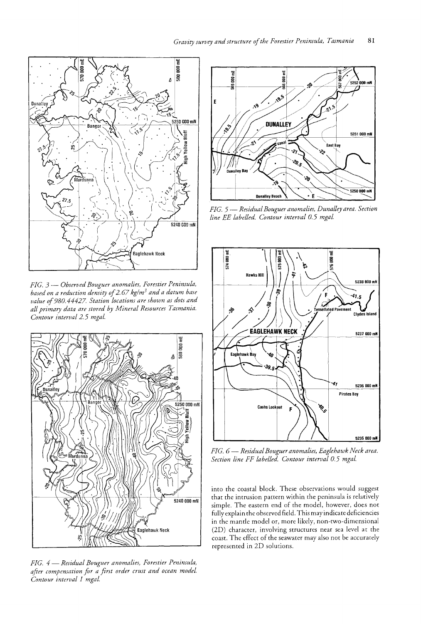

*FIG.* 3 - *Observed Bouguer anomalies, Forestier Peninsula, based on a reduction density of* 2. 67 *kglm*3 *and a datum base value of980,44427 Station locations are shown as dots and all primary data are stored by MineraL Resources Tasmania. Contour interval* 2.5 *mgal.* 



*FIG.* 4 - *Residual Bouguer anomaLies, Forestier Peninsula, after compensation for a first order crust and ocean model. Contour interval 1 mgal.* 



*FIG.* 5 - *Residual Bouguer anomalies, Dunalleyarea. Section line EE LabeLled. Contour interval 0.5 mgal.* 



*FIG.* 6 - *Residual Bouguer anomalies, Eaglehawk Neck area. Section line FF labeLled. Contour interval 0.5 mgal.* 

into the coastal block. These observations would suggest that the intrusion pattern within the peninsula is relatively simple. The eastern end of the model, however, does not fully explain the observed field. This may indicate deficiencies in the mantle model or, more likely, non-twa-dimensional (2D) character, involving structures near sea level at the coast. The effect of the seawater may also not be accurately represented in 2D solutions.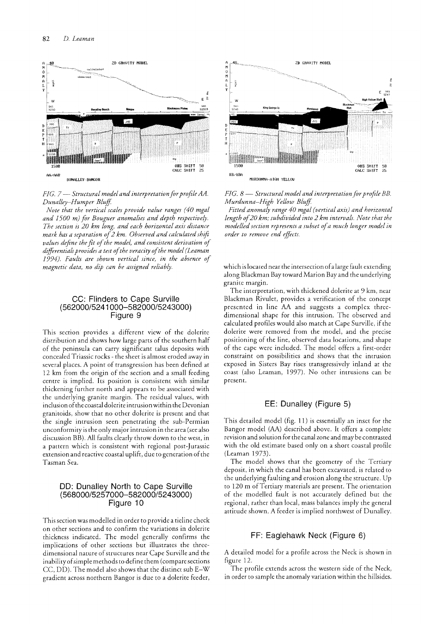

*FIG. 7* - *Structural model and interpretation for profile AA. Dunalley-Humper Bluff* 

*Note that the vertical scales provide value ranges (40 mgal and 1500 m) Jar Bouguer anomalies and depth respectively. The section is 20 km Long, and each horizontal axis distance mark has a separation of* 2 *km. Observed and calculated shift values define the fit of the model, and consistent derivation of*  differentials provides a test of the veracity of the model (Leaman *1994). Faults are shown vertical since, in the absence of magnetic data, no dip can be assigned reliably.* 

#### CC: Flinders to Cape Surville *(562000/5241000-582000/5243000)*  Figure 9

This section provides a different view of the dolerite distribution and shows how large parts of the southern half of the peninsula can carry significant talus deposits with concealed Triassic rocks - the sheet is almost eroded away in several places. A point of transgression has been defined at 12 km from the origin of the section and a small feeding centre is implied. Its position is consistent with similar thickening further north and appears to be associated with the underlying granite margin. The residual values, wirh inclusion of the coastal dolerite intrusion within the Devonian granitoids, show that no other dolerite is present and that the single intrusion seen penetrating the sub-Permian unconformity is the only major intrusion in the area (see also discussion BB). All faults clearly throw down to the west, in a pattern which is consistent with regional post-Jurassic extension and reactive coastal uplift, due to generation of the Tasman Sea.

## DO: Dunalley North to Cape Surville *(568000/5257000-582000/5243000)*  Figure 10

This section was modelled in order to provide a tieline check on other sections and to confirm the variations in dolerite thickness indicated. The model generally confirms the implications of other sections but illustrates the threedimensional nature of structures near Cape SurviHe and the inability of simple methods to define them (compare sections CC, DD). The model also shows that the distinct sub E-W gradient across northern Bangor is due to a dolerite feeder,



*FIG. 8* — *Structural model and interpretation for profile BB. Murdunna-High Yellow Bluff* 

*htted anomaly range 40 mgal (vertical axis) and horizontal length of 20 km; subdivided into 2 km intervals. Note that the modelled section represents a subset ofa much longer mode! in order to remove end effiets.* 

which is located near the intersection ofa large fault extending along Blackman Bay toward Marion Bay and the underlying granite margin.

The interpretation, with thickened dolerite at 9 km, near Blackman Rivulet, provides a verification of the concept presented in line AA and suggests a complex threedimensional shape for this intrusion. The observed and calculated profiles would also match at Cape Surville, if the dolerite were removed from the model, and the precise positioning of the line, observed data locations, and shape of the cape were included. The model offers a first-order constraint on possibilities and shows that the intrusion exposed in Sisters Bay rises rransgressively inland at the coast (also Leaman, 1997). No other intrusions can be present.

# EE: Dunalley (Figure 5)

This detailed model (fig. 11) is essentially an inset for the Bangor model (AA) described above. It offers a complete revision and solution for the canal zone and may be contrasted with the old estimate based only on a short coastal profile (Leaman 1973).

The model shows that the geometry of the Tertiary deposit, in which the canal has been excavated, is related to the underlying faulting and erosion along the structure. Up to 120 m of Tertiary materials are present. The orientation of the modelled fault is not accurately defined but the regional, rather than local, mass balances imply the general attitude shown. A feeder is implied northwest of Dunalley.

## FF: Eaglehawk Neck (Figure 6)

A detailed model for a profile across the Neck is shown in figure 12.

The profile extends across the western side of the Neck, in order to sample the anomaly variation within the hillsides.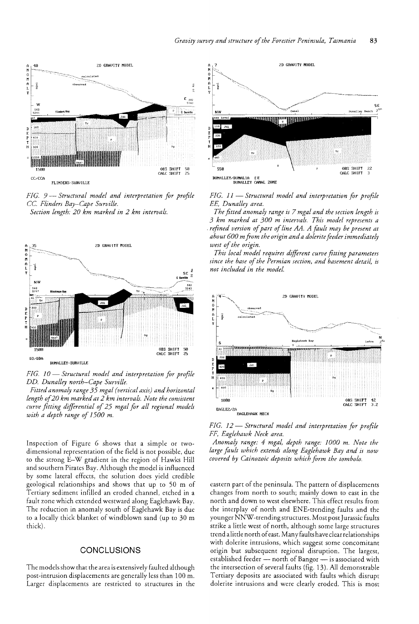

*FIG.* 9·- *StructuraL model and interpretation for profile*  cc. *FLinders Bay-Cape SurviLle. Section Length: 20 km marked in* 2 *km intervals.* 



*FIG. 10- Structural modeL and interpretation for profile DD. Dunalley north-Cape SurviLle.* 

*Fitted anomaly range* 35 *mgal (vertical axis) and horizontal length of20 km marked at* 2 *km intervals. Note the consistent curve fitting differential of25 mgal for all regional models with a depth range of 1500 m.* 

Inspection of Figure 6 shows that a simple or twodimensional representation of the field is not possible, due to the strong E-W gradient in the region of Hawks Hill and southern Pirates Bay. Although the model is influenced by some lateral effects, the solution does yield credible geological relationships and shows that up to 50 m of Tertiary sediment infilled an eroded channel, etched in a fault zone which extended westward along Eaglehawk Bay. The reduction in anomaly south of Eaglehawk Bay is due to a locally thick blanket of windblown sand (up to 30 m thick).

### **CONCLUSIONS**

The models show that the area is extensively faulted although post-intrusion displacements are generally less than 100 m. Larger displacements are restricted to structures in the



*fiG.* 11 - *StructuraL model and interpretation .for profiLe EE, Dunalley area.* 

*The fitted anomaly range is* 7 *mgaL and the section length is 3 km marked at 300 m intervals. This model represents a . refined version of part of line AA. A foult may be present at about 600 m from the origin and a dolerite foeder immediately west of the origin.* 

*This local modeL requires different curve fitting parameters since the base of the Permian section, and basement detail, is not included in the model.* 



*FIG.* 12 - *Structural model and interpretation for profile FF, Eaglehawk Neck area.* 

*Anomaly range:* 4 *mgal, depth range: 1000 m. Note the large foult which extends along Eaglehawk Bay and is now covered by Cainozoic deposits which form the tom bolo.* 

eastern part of the peninsula. The pattern of displacements changes from north to south; mainly down to east in the north and down to west elsewhere. This effect results from the interplay of north and ENE-trending faults and the younger NNW-trending structures. Most post Jurassic faults strike a little west of north, although some large structures trend a little north of east. Many faults have clear relationships with dolerite intrusions, which suggest some concomitant origin but subsequent regional disruption. The largest, established feeder - north of Bangor - is associated with the intersection of several faults (fig. 13). All demonstrable Tertiary deposits are associated with faults which disrupt dolerite intrusions and were clearly eroded. This is most